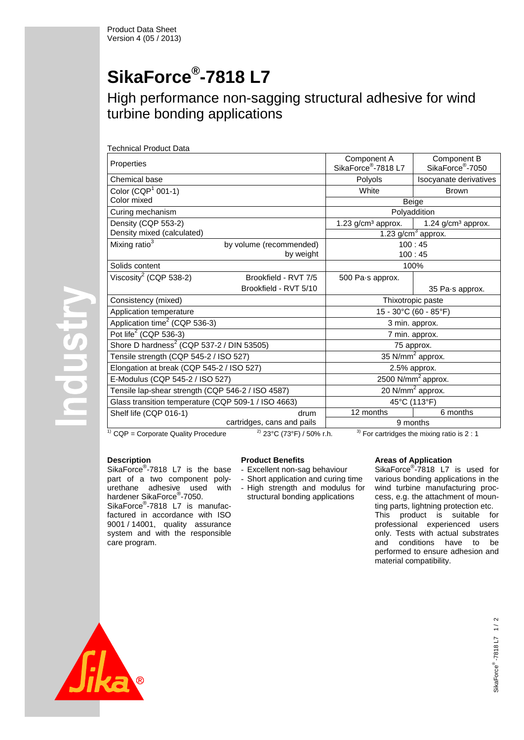# **SikaForce® -7818 L7**

### High performance non-sagging structural adhesive for wind turbine bonding applications

|  | <b>Technical Product Data</b> |  |  |
|--|-------------------------------|--|--|
|--|-------------------------------|--|--|

| Properties                                            |                                                                                       | Component A<br>SikaForce <sup>®</sup> -7818 L7 | Component B<br>SikaForce <sup>®</sup> -7050 |  |  |
|-------------------------------------------------------|---------------------------------------------------------------------------------------|------------------------------------------------|---------------------------------------------|--|--|
| Chemical base                                         |                                                                                       | Polyols                                        | Isocyanate derivatives                      |  |  |
| Color $(CQP1 001-1)$                                  |                                                                                       | White                                          | <b>Brown</b>                                |  |  |
| Color mixed                                           |                                                                                       |                                                | Beige                                       |  |  |
| Curing mechanism                                      |                                                                                       | Polyaddition                                   |                                             |  |  |
| Density (CQP 553-2)                                   |                                                                                       | $1.23$ g/cm <sup>3</sup> approx.               | 1.24 g/cm <sup>3</sup> approx.              |  |  |
| Density mixed (calculated)                            |                                                                                       |                                                | 1.23 $g/cm3$ approx.                        |  |  |
| Mixing ratio <sup>3</sup>                             | by volume (recommended)                                                               |                                                | 100:45                                      |  |  |
|                                                       | by weight                                                                             |                                                | 100:45                                      |  |  |
| Solids content                                        |                                                                                       | 100%                                           |                                             |  |  |
| Viscosity <sup>2</sup> (CQP 538-2)                    | Brookfield - RVT 7/5                                                                  | 500 Pa.s approx.                               |                                             |  |  |
|                                                       | Brookfield - RVT 5/10                                                                 |                                                | 35 Pa.s approx.                             |  |  |
| Consistency (mixed)                                   |                                                                                       | Thixotropic paste                              |                                             |  |  |
| Application temperature                               |                                                                                       |                                                | 15 - 30°C (60 - 85°F)                       |  |  |
| Application time <sup>2</sup> (CQP 536-3)             |                                                                                       |                                                | 3 min. approx.                              |  |  |
| Pot life <sup>2</sup> (CQP 536-3)                     |                                                                                       |                                                | 7 min. approx.                              |  |  |
| Shore D hardness <sup>2</sup> (CQP 537-2 / DIN 53505) |                                                                                       |                                                | 75 approx.                                  |  |  |
| Tensile strength (CQP 545-2 / ISO 527)                |                                                                                       | 35 N/mm <sup>2</sup> approx.                   |                                             |  |  |
| Elongation at break (CQP 545-2 / ISO 527)             |                                                                                       | 2.5% approx.                                   |                                             |  |  |
| E-Modulus (CQP 545-2 / ISO 527)                       |                                                                                       | 2500 N/mm <sup>2</sup> approx.                 |                                             |  |  |
| Tensile lap-shear strength (CQP 546-2 / ISO 4587)     |                                                                                       | 20 N/mm <sup>2</sup> approx.                   |                                             |  |  |
| Glass transition temperature (CQP 509-1 / ISO 4663)   |                                                                                       | 45°C (113°F)                                   |                                             |  |  |
| Shelf life (CQP 016-1)                                | drum                                                                                  | 12 months                                      | 6 months                                    |  |  |
|                                                       | cartridges, cans and pails                                                            | 9 months                                       |                                             |  |  |
| <sup>1)</sup> CQP = Corporate Quality Procedure       | <sup>2)</sup> 23°C (73°F) / 50% r.h.<br>$3)$ For cartridges the mixing ratio is 2 : 1 |                                                |                                             |  |  |

#### **Description**

NISTION

SikaForce<sup>®</sup>-7818 L7 is the base part of a two component polyurethane adhesive used with hardener SikaForce®-7050.

SikaForce<sup>®</sup>-7818 L7 is manufacfactured in accordance with ISO 9001 / 14001, quality assurance system and with the responsible care program.

#### **Product Benefits**

- Excellent non-sag behaviour
- Short application and curing time - High strength and modulus for
- structural bonding applications

#### **Areas of Application**

SikaForce® -7818 L7 is used for various bonding applications in the wind turbine manufacturing proccess, e.g. the attachment of mounting parts, lightning protection etc. This product is suitable for professional experienced users only. Tests with actual substrates and conditions have to be performed to ensure adhesion and material compatibility.